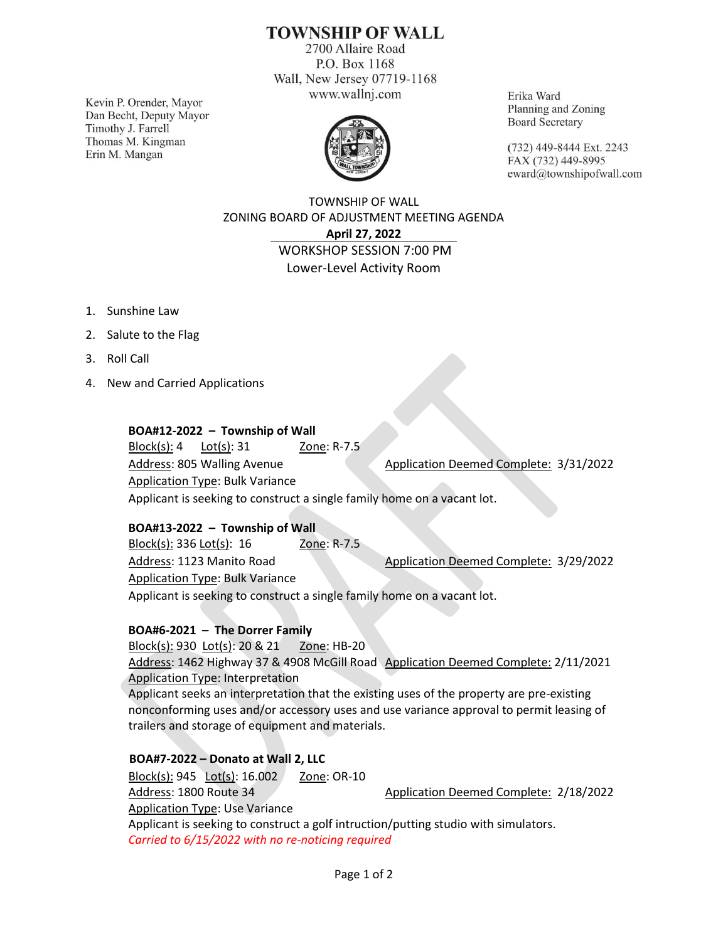# **TOWNSHIP OF WALL**

2700 Allaire Road P.O. Box 1168 Wall, New Jersey 07719-1168 www.wallnj.com

Kevin P. Orender, Mayor Dan Becht, Deputy Mayor Timothy J. Farrell Thomas M. Kingman Erin M. Mangan



Erika Ward Planning and Zoning **Board Secretary** 

(732) 449-8444 Ext. 2243 FAX (732) 449-8995 eward@townshipofwall.com

TOWNSHIP OF WALL ZONING BOARD OF ADJUSTMENT MEETING AGENDA **April 27, 2022** WORKSHOP SESSION 7:00 PM Lower-Level Activity Room

- 1. Sunshine Law
- 2. Salute to the Flag
- 3. Roll Call
- 4. New and Carried Applications

#### **BOA#12-2022 – Township of Wall**

Block(s): 4 Lot(s): 31 Zone: R-7.5 Address: 805 Walling Avenue Application Deemed Complete: 3/31/2022 Application Type: Bulk Variance Applicant is seeking to construct a single family home on a vacant lot.

#### **BOA#13-2022 – Township of Wall**

Block(s): 336 Lot(s): 16 Zone: R-7.5 Address: 1123 Manito Road Application Deemed Complete: 3/29/2022 Application Type: Bulk Variance Applicant is seeking to construct a single family home on a vacant lot.

### **BOA#6-2021 – The Dorrer Family**

Block(s): 930 Lot(s): 20 & 21 Zone: HB-20 Address: 1462 Highway 37 & 4908 McGill Road Application Deemed Complete: 2/11/2021 Application Type: Interpretation Applicant seeks an interpretation that the existing uses of the property are pre-existing nonconforming uses and/or accessory uses and use variance approval to permit leasing of trailers and storage of equipment and materials.

### **BOA#7-2022 – Donato at Wall 2, LLC**

Block(s): 945 Lot(s): 16.002 Zone: OR-10 Address: 1800 Route 34 Application Deemed Complete: 2/18/2022 Application Type: Use Variance Applicant is seeking to construct a golf intruction/putting studio with simulators. *Carried to 6/15/2022 with no re-noticing required*